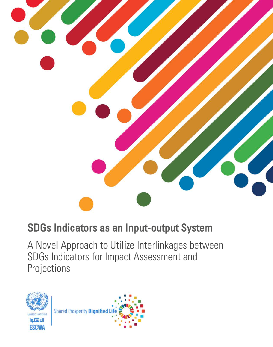

## SDGs Indicators as an Input-output System

A Novel Approach to Utilize Interlinkages between SDGs Indicators for Impact Assessment and Projections



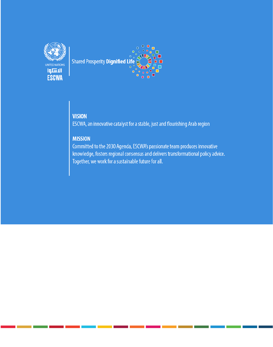



#### **VISION**

ESCWA, an innovative catalyst for a stable, just and flourishing Arab region

#### **MISSION**

Committed to the 2030 Agenda, ESCWA's passionate team produces innovative knowledge, fosters regional consensus and delivers transformational policy advice. Together, we work for a sustainable future for all.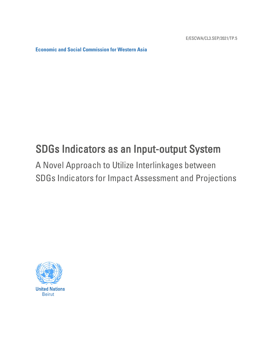E/ESCWA/CL3.SEP/2021/TP.5

**Economic and Social Commission for Western Asia**

# SDGs Indicators as an Input-output System

## A Novel Approach to Utilize Interlinkages between SDGs Indicators for Impact Assessment and Projections

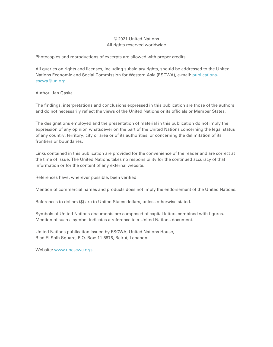#### © 2021 United Nations All rights reserved worldwide

Photocopies and reproductions of excerpts are allowed with proper credits.

All queries on rights and licenses, including subsidiary rights, should be addressed to the United Nations Economic and Social Commission for Western Asia (ESCWA), e-mail: [publications](mailto:publications-escwa@un.org)[escwa@un.org.](mailto:publications-escwa@un.org)

Author: Jan Gaska.

The findings, interpretations and conclusions expressed in this publication are those of the authors and do not necessarily reflect the views of the United Nations or its officials or Member States.

The designations employed and the presentation of material in this publication do not imply the expression of any opinion whatsoever on the part of the United Nations concerning the legal status of any country, territory, city or area or of its authorities, or concerning the delimitation of its frontiers or boundaries.

Links contained in this publication are provided for the convenience of the reader and are correct at the time of issue. The United Nations takes no responsibility for the continued accuracy of that information or for the content of any external website.

References have, wherever possible, been verified.

Mention of commercial names and products does not imply the endorsement of the United Nations.

References to dollars (\$) are to United States dollars, unless otherwise stated.

Symbols of United Nations documents are composed of capital letters combined with figures. Mention of such a symbol indicates a reference to a United Nations document.

United Nations publication issued by ESCWA, United Nations House, Riad El Solh Square, P.O. Box: 11-8575, Beirut, Lebanon.

Website: [www.unescwa.org.](http://www.unescwa.org/)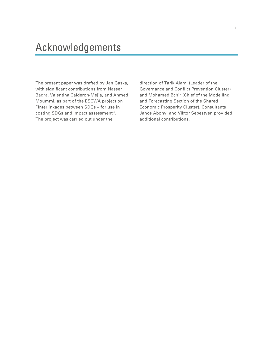#### <span id="page-4-0"></span>Acknowledgements

The present paper was drafted by Jan Gaska, with significant contributions from Nasser Badra, Valentina Calderon-Mejia, and Ahmed Moummi, as part of the ESCWA project on "Interlinkages between SDGs – for use in costing SDGs and impact assessment*"*. The project was carried out under the

direction of Tarik Alami (Leader of the Governance and Conflict Prevention Cluster) and Mohamed Bchir (Chief of the Modelling and Forecasting Section of the Shared Economic Prosperity Cluster). Consultants Janos Abonyi and Viktor Sebestyen provided additional contributions.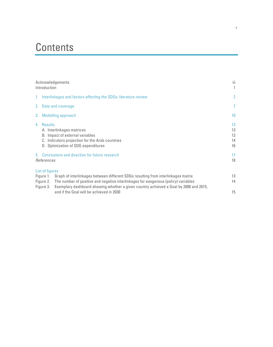## **Contents**

| Acknowledgements<br>Introduction                                                                                                                                                                                                                                                                                                                                    |                |  |  |  |  |
|---------------------------------------------------------------------------------------------------------------------------------------------------------------------------------------------------------------------------------------------------------------------------------------------------------------------------------------------------------------------|----------------|--|--|--|--|
| 1. Interlinkages and factors affecting the SDGs: literature review                                                                                                                                                                                                                                                                                                  |                |  |  |  |  |
| 2. Data and coverage                                                                                                                                                                                                                                                                                                                                                | 7              |  |  |  |  |
| 3. Modelling approach                                                                                                                                                                                                                                                                                                                                               | 10             |  |  |  |  |
| 4. Results<br>A. Interlinkages matrices<br>B. Impact of external variables<br>C. Indicators projection for the Arab countries<br>D. Optimization of SDG expenditures                                                                                                                                                                                                |                |  |  |  |  |
| 5. Conclusions and direction for future research<br>References                                                                                                                                                                                                                                                                                                      |                |  |  |  |  |
| List of figures<br>Figure 1.<br>Graph of interlinkages between different SDGs resulting from interlinkages matrix<br>Figure 2. The number of positive and negative interlinkages for exogenous (policy) variables<br>Exemplary dashboard showing whether a given country achieved a Goal by 2000 and 2015,<br>Figure 3.<br>and if the Goal will be achieved in 2030 | 13<br>14<br>15 |  |  |  |  |

v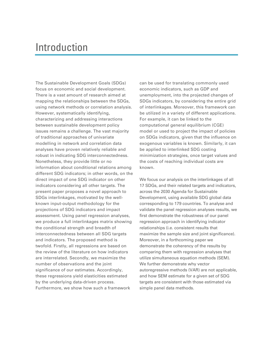### <span id="page-8-0"></span>Introduction

The Sustainable Development Goals (SDGs) focus on economic and social development. There is a vast amount of research aimed at mapping the relationships between the SDGs, using network methods or correlation analysis. However, systematically identifying, characterizing and addressing interactions between sustainable development policy issues remains a challenge. The vast majority of traditional approaches of univariate modelling in network and correlation data analyses have proven relatively reliable and robust in indicating SDG interconnectedness. Nonetheless, they provide little or no information about conditional relations among different SDG indicators; in other words, on the direct impact of one SDG indicator on other indicators considering all other targets. The present paper proposes a novel approach to SDGs interlinkages, motivated by the wellknown input-output methodology for the projections of SDG indicators and impact assessment. Using panel regression analyses, we produce a full interlinkages matrix showing the conditional strength and breadth of interconnectedness between all SDG targets and indicators. The proposed method is twofold. Firstly, all regressions are based on the review of the literature on how indicators are interrelated. Secondly, we maximize the number of observations and the joint significance of our estimates. Accordingly, these regressions yield elasticities estimated by the underlying data-driven process. Furthermore, we show how such a framework

can be used for translating commonly used economic indicators, such as GDP and unemployment, into the projected changes of SDGs indicators, by considering the entire grid of interlinkages. Moreover, this framework can be utilized in a variety of different applications. For example, it can be linked to the computational general equilibrium (CGE) model or used to project the impact of policies on SDGs indicators, given that the influence on exogenous variables is known. Similarly, it can be applied to interlinked SDG costing minimization strategies, once target values and the costs of reaching individual costs are known.

We focus our analysis on the interlinkages of all 17 SDGs, and their related targets and indicators, across the 2030 Agenda for Sustainable Development, using available SDG global data corresponding to 179 countries. To analyse and validate the panel regression analyses results, we first demonstrate the robustness of our panel regression approach in identifying indicator relationships (i.e. consistent results that maximize the sample size and joint significance). Moreover, in a forthcoming paper we demonstrate the coherency of the results by comparing them with regression analyses that utilize simultaneous equation methods (SEM). We further demonstrate why vector autoregressive methods (VAR) are not applicable, and how SEM estimate for a given set of SDG targets are consistent with those estimated via simple panel data methods.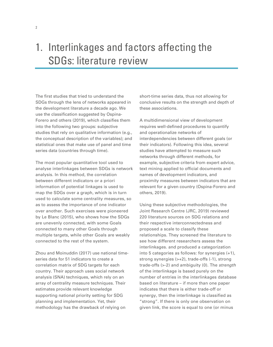### <span id="page-9-0"></span>1. Interlinkages and factors affecting the SDGs: literature review

The first studies that tried to understand the SDGs through the lens of networks appeared in the development literature a decade ago. We use the classification suggested by Ospina-Forero and others (2019), which classifies them into the following two groups: subjective studies that rely on qualitative information (e.g., the conceptual description of the variables); and statistical ones that make use of panel and time series data (countries through time).

The most popular quantitative tool used to analyse interlinkages between SDGs is network analysis. In this method, the correlation between different indicators or a priori information of potential linkages is used to map the SDGs over a graph, which is in turn used to calculate some centrality measures, so as to assess the importance of one indicator over another. Such exercises were pioneered by Le Blanc (2015), who shows how the SDGs are unevenly connected, with some Goals connected to many other Goals through multiple targets, while other Goals are weakly connected to the rest of the system.

Zhou and Moinuddin (2017) use national timeseries data for 51 indicators to create a correlation matrix of SDG targets for each country. Their approach uses social network analysis (SNA) techniques, which rely on an array of centrality measure techniques. Their estimates provide relevant knowledge supporting national priority setting for SDG planning and implementation. Yet, their methodology has the drawback of relying on

short-time series data, thus not allowing for conclusive results on the strength and depth of these associations.

A multidimensional view of development requires well-defined procedures to quantify and operationalize networks of interdependencies between different goals (or their indicators). Following this idea, several studies have attempted to measure such networks through different methods, for example, subjective criteria from expert advice, text mining applied to official documents and names of development indicators, and proximity measures between indicators that are relevant for a given country (Ospina-Forero and others, 2019).

Using these subjective methodologies, the Joint Research Centre (JRC, 2019) reviewed 220 literature sources on SDG relations and their respective interconnectedness and proposed a scale to classify these relationships. They screened the literature to see how different researchers assess the interlinkages. and produced a categorization into 5 categories as follows: for synergies (+1), strong synergies (>+2), trade-offs (-1), strong trade-offs (>-2) and ambiguity (0). The *strength*  of the interlinkage is based purely on the number of entries in the interlinkages database based on literature – if more than one paper indicates that there is either trade-off or synergy, then the interlinkage is classified as "strong". If there is only one observation on given link, the score is equal to one (or minus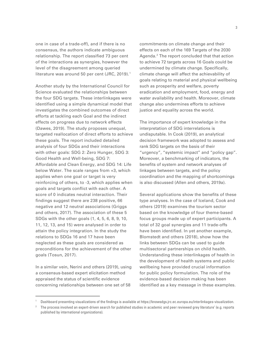one in case of a trade-off), and if there is no consensus, the authors indicate ambiguous relationship. The report classified 73 per cent of the interactions as synergies, however the level of the disagreement among queried literature was around 50 per cent (JRC, 20[1](#page-10-0)9).<sup>1</sup>

Another study by the International Council for Science evaluated the relationships between the four SDG targets. These interlinkages were identified using a simple dynamical model that investigates the combined outcomes of direct efforts at tackling each Goal and the indirect effects on progress due to network effects (Dawes, 2019). The study proposes unequal, targeted reallocation of direct efforts to achieve these goals. The report included detailed analysis of four SDGs and their interactions with other goals: SDG 2: Zero Hunger, SDG 3: Good Health and Well-being, SDG 7: Affordable and Clean Energy, and SDG 14: Life below Water. The scale ranges from +3, which applies when one goal or target is very reinforcing of others, to -3, which applies when goals and targets conflict with each other. A score of 0 indicates neutral interaction. Their findings suggest there are 238 positive, 66 negative and 12 neutral associations (Griggs and others, 2017). The association of these 5 SDGs with the other goals (1, 4, 5, 6, 8, 9, 10, 11, 12, 13, and 15) were analysed in order to attain the policy integration. In the study the relations to SDGs 16 and 17 have been neglected as these goals are considered as preconditions for the achievement of the other goals (Tosun, 2017).

In a similar vein, Nerini and others (2019), using a consensus-based expert elicitation method appraised the status of scientific evidence concerning relationships between one set of 58

commitments on climate change and their effects on each of the 169 Targets of the 2030 Agenda.[2](#page-10-1) The report concluded that that action to achieve 72 targets across 16 Goals could be undermined by climate change. Specifically, climate change will affect the achievability of goals relating to material and physical wellbeing such as prosperity and welfare, poverty eradication and employment, food, energy and water availability and health. Moreover, climate change also undermines efforts to achieve justice and equality across the world.

The importance of expert knowledge in the interpretation of SDG interrelations is undisputable. In Cook (2019), an analytical decision framework was adopted to assess and rank SDG targets on the basis of their "urgency", "systemic impact" and "policy gap". Moreover, a benchmarking of indicators, the benefits of system and network analyses of linkages between targets, and the policy coordination and the mapping of shortcomings is also discussed (Allen and others, 2019a).

Several applications show the benefits of these type analyses. In the case of Iceland, Cook and others (2019) examines the tourism sector based on the knowledge of four theme-based focus groups made up of expert participants. A total of 32 goal synergies and 11 trade-offs have been identified. In yet another example, Blomstedt and others (2018), show how the links between SDGs can be used to guide multisectoral partnerships on child health. Understanding these interlinkages of health in the development of health systems and public wellbeing have provided crucial information for public policy formulation. The role of the evidence-based decision making has been identified as a key message in these examples.

<span id="page-10-0"></span>Dashboard presenting visualizations of the findings is available at https://knowsdgs.jrc.ec.europa.eu/interlinkages-visualization.

<span id="page-10-1"></span><sup>2</sup> The process involved an expert-driven search for published studies in academic and peer reviewed grey literature' (e.g. reports published by international organizations).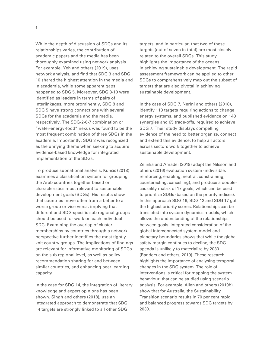While the depth of discussion of SDGs and its relationships varies, the contribution of academic papers and the media has been thoroughly examined using network analysis. For example, Yeh and others (2019), uses network analysis, and find that SDG 3 and SDG 10 shared the highest attention in the media and in academia, while some apparent gaps happened to SDG 5. Moreover, SDG 3-10 were identified as leaders in terms of pairs of interlinkages; more prominently, SDG 8 and SDG 5 have strong connections with several SDGs for the academia and the media, respectively. The SDG-2-6-7 combination or "water-energy-food" nexus was found to be the most frequent combination of three SDGs in the academia. Importantly, SDG 3 was recognized as the unifying theme when seeking to acquire evidence-based knowledge for integrated implementation of the SDGs.

To produce subnational analysis, Kunčič (2018) examines a classification system for grouping the Arab countries together based on characteristics most relevant to sustainable development goals (SDGs). His results show that countries move often from a better to a worse group or vice versa, implying that different and SDG-specific sub regional groups should be used for work on each individual SDG. Examining the overlap of cluster memberships by countries through a network perspective further identifies the most tightly knit country groups. The implications of findings are relevant for informative monitoring of SDGs on the sub regional level, as well as policy recommendation sharing for and between similar countries, and enhancing peer learning capacity.

In the case for SDG 14, the integration of literary knowledge and expert opinions has been shown. Singh and others (2018), use an integrated approach to demonstrate that SDG 14 targets are strongly linked to all other SDG

targets, and in particular, that two of these targets (out of seven in total) are most closely related to the overall SDGs. This study highlights the importance of the oceans in [achieving sustainable development.](https://www.sciencedirect.com/topics/engineering/achieving-sustainable-development) The rapid assessment framework can be applied to other SDGs to comprehensively map out the subset of targets that are also pivotal in achieving sustainable development.

In the case of SDG 7, Nerini and others (2018), identify 113 targets requiring actions to change energy systems, and published evidence on 143 synergies and 65 trade-offs, required to achieve SDG 7. Their study displays compelling evidence of the need to better organize, connect and extend this evidence, to help all actors across sectors work together to achieve sustainable development.

Zelinka and Amadei (2019) adapt the Nilsson and others (2016) evaluation system (indivisible, reinforcing, enabling, neutral, constraining, counteracting, cancelling), and produce a doublecausality matrix of 17 goals, which can be used to prioritize SDGs (based on the priority indices). In this approach SDG 16, SDG 12 and SDG 17 got the highest priority scores. Relationships can be translated into system dynamics models, which allows the understanding of the relationships between goals. Integrated consideration of the global interconnected system model and planetary boundaries shows that while the global safety margin continues to decline, the SDG agenda is unlikely to materialize by 2030 (Randers and others, 2019). These research highlights the importance of analysing temporal changes in the SDG system. The role of interventions is critical for mapping the system behaviour, that can be studied using scenario analysis. For example, Allen and others (2019b), show that for Australia, the Sustainability Transition scenario results in 70 per cent rapid and balanced progress towards SDG targets by 2030.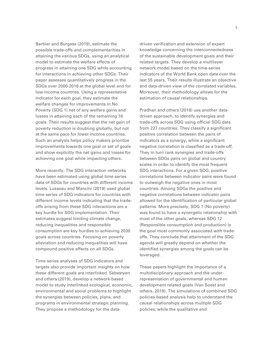Barbier and Burgess (2019), estimate the possible trade-offs and complementarities in attaining the various SDGs, using an analytical model to estimate the welfare effects of progress in attaining one SDG while accounting for interactions in achieving other SDGs. Their paper assesses quantitatively progress in the SDGs over 2000-2016 at the global level and for low-income countries. Using a representative indicator for each goal, they estimate the welfare changes for improvements in No Poverty (SDG 1) net of any welfare gains and losses in attaining each of the remaining 16 goals. Their results suggest that the net gain of poverty reduction is doubling globally, but not at the same pace for lower income countries. Such an analysis helps policy makers prioritize improvements towards one goal or set of goals and show explicitly the net gains and losses for achieving one goal while impacting others.

More recently, The SDG interaction networks have been estimated using global time series data of SDGs for countries with different income levels. Lusseau and Mancini (2019) used global time series of SDG indicators for countries with different income levels indicating that the tradeoffs arising from these SDG interactions are a key hurdle for SDG implementation. Their estimates suggest limiting climate change, reducing inequalities and responsible consumption are key hurdles to achieving 2030 goals across countries. Focusing on poverty alleviation and reducing inequalities will have compound positive effects on all SDGs.

Time series analyses of SDG indicators and targets also provide important insights on how these different goals are interlinked. Sebestyen and others (2019), develop a network-based model to study interlinked ecological, economic, environmental and social problems to highlight the [synergies](https://www.sciencedirect.com/topics/social-sciences/synergy) between policies, plans, and programs in environmental strategic planning. They propose a methodology for the data-

driven verification and extension of expert knowledge concerning the interconnectedness of the sustainable development goals and their related targets. They develop a multilayer network model based on the time-series indicators of the World Bank open data over the last 55 years. Their results illustrate an objective and data-driven view of the correlated variables. Moreover, their methodology allows for the estimation of causal relationships.

Pradhan and others (2018) use another datadriven approach, to identify synergies and trade-offs across SDG using official SDG data from 227 countries. They classify a significant positive correlation between the pairs of indicators as a synergy, while a significant negative correlation is classified as a trade-off. They in turn rank synergies and trade‐offs between SDGs pairs on global and country scales in order to identify the most frequent SDG interactions. For a given SDG, positive correlations between indicator pairs were found to outweigh the negative ones in most countries. Among SDGs the positive and negative correlations between indicator pairs allowed for the identification of particular global patterns. More precisely, SDG 1 (No poverty) was found to have a synergetic relationship with most of the other goals, whereas SDG 12 (Responsible consumption and production) is the goal most commonly associated with trade‐ offs. They conclude that attainment of the SDG agenda will greatly depend on whether the identified synergies among the goals can be leveraged.

These papers highlight the importance of a multidisciplinary approach and the underrepresentation of governmental and human development related goals (Van Soest and others, 2019). The simulations of combined SDG policies-based analysis help to understand the causal relationships across multiple SDG policies; while the qualitative and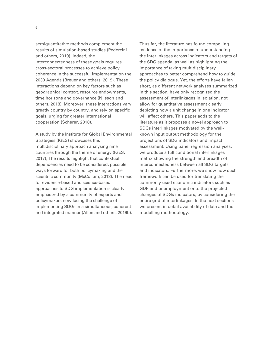semiquantitative methods complement the results of simulation-based studies (Pedercini and others, 2019). Indeed, the interconnectedness of these goals requires cross-sectoral processes to achieve policy coherence in the successful implementation the 2030 Agenda (Breuer and others, 2019). These interactions depend on key factors such as geographical context, resource endowments, time horizons and governance (Nilsson and others, 2018). Moreover, these interactions vary greatly country by country, and rely on specific goals, urging for greater international cooperation (Scherer, 2018).

A study by the Institute for Global Environmental Strategies (IGES) showcases this multidisciplinary approach analysing nine countries through the theme of energy (IGES, 2017), The results highlight that contextual dependencies need to be considered, possible ways forward for both policymaking and the scientific community (McCollum, 2018). The need for evidence-based and science-based approaches to SDG implementation is clearly emphasized by a community of experts and policymakers now facing the challenge of implementing SDGs in a simultaneous, coherent and integrated manner (Allen and others, 2019b).

Thus far, the literature has found compelling evidence of the importance of understanding the interlinkages across indicators and targets of the SDG agenda, as well as highlighting the importance of taking multidisciplinary approaches to better comprehend how to guide the policy dialogue. Yet, the efforts have fallen short, as different network analyses summarized in this section, have only recognized the assessment of interlinkages in isolation, not allow for quantitative assessment clearly depicting how a unit change in one indicator will affect others. This paper adds to the literature as it proposes a novel approach to SDGs interlinkages motivated by the wellknown input output methodology for the projections of SDG indicators and impact assessment. Using panel regression analyses, we produce a full conditional interlinkages matrix showing the strength and breadth of interconnectedness between all SDG targets and indicators. Furthermore, we show how such framework can be used for translating the commonly used economic indicators such as GDP and unemployment onto the projected changes of SDGs indicators, by considering the entire grid of interlinkages. In the next sections we present in detail availability of data and the modelling methodology.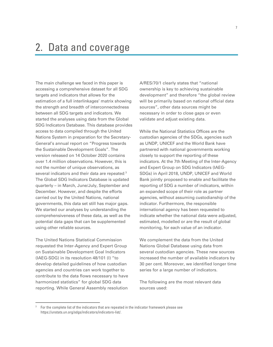### <span id="page-14-0"></span>2. Data and coverage

The main challenge we faced in this paper is accessing a comprehensive dataset for all SDG targets and indicators that allows for the estimation of a full interlinkages' matrix showing the strength and breadth of interconnectedness between all SDG targets and indicators. We started the analyses using data from the Global SDG Indicators Database. This database provides access to data compiled through the United Nations System in preparation for the Secretary-General's annual report on "Progress towards the Sustainable Development Goals". The version released on 14 October 2020 contains over 1.4 million observations. However, this is not the number of unique observations, as several indicators and their data are repeated.<sup>[3](#page-14-1)</sup> The Global SDG Indicators Database is updated quarterly – in March, June/July, September and December. However, and despite the efforts carried out by the United Nations, national governments, this data set still has major gaps. We started our analyses by understanding the comprehensiveness of these data, as well as the potential data gaps that can be supplemented using other reliable sources.

The United Nations Statistical Commission requested the Inter-Agency and Expert Group on Sustainable Development Goal Indicators (IAEG-SDG) in its resolution 48/101 (l) "to develop detailed guidelines of how custodian agencies and countries can work together to contribute to the data flows necessary to have harmonized statistics" for global SDG data reporting. While General Assembly resolution

A/RES/70/1 clearly states that "national ownership is key to achieving sustainable development" and therefore "the global review will be primarily based on national official data sources", other data sources might be necessary in order to close gaps or even validate and adjust existing data.

While the National Statistics Offices are the custodian agencies of the SDGs, agencies such as UNDP, UNICEF and the World Bank have partnered with national governments working closely to support the reporting of these indicators. At the 7th Meeting of the Inter-Agency and Expert Group on SDG Indicators (IAEG-SDGs) in April 2018, UNDP, UNICEF and World Bank jointly proposed to enable and facilitate the reporting of SDG a number of indicators, within an expanded scope of their role as partner agencies, without assuming custodianship of the indicator. Furthermore, the responsible international agency has been requested to indicate whether the national data were adjusted, estimated, modelled or are the result of global monitoring, for each value of an indicator.

We complement the data from the United Nations Global Database using data from several custodian agencies. These new sources increased the number of available indicators by 30 per cent. Moreover, we identified longer time series for a large number of indicators.

The following are the most relevant data sources used:

<span id="page-14-1"></span> $3$  For the complete list of the indicators that are repeated in the indicator framework please see https://unstats.un.org/sdgs/indicators/indicators-list/.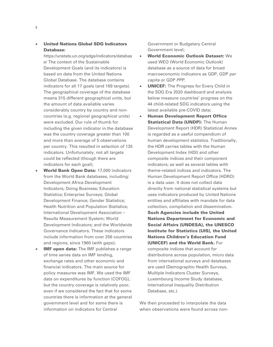• United Nations Global SDG Indicators Database:

https://unstats.un.org/sdgs/indicators/databas e/ The context of the Sustainable Development Goals (and its indicators) is based on data from the United Nations Global Database. The database contains indicators for all 17 goals (and 169 targets). The geographical coverage of the database means 315 different geographical units, but the amount of data available varies considerably country by country and noncountries (e.g. regional geographical units) were excluded. Our rule of thumb for including the given indicator in the database was the country coverage greater than 100 and more than average of 5 observations per country. This resulted in selection of 135 indicators. Unfortunately, not all targets could be reflected (though there are indicators for each goal);

- World Bank Open Data: 17,000 indicators from the World Bank databases, including: Development Africa Development Indicators; Doing Business; Education Statistics; Enterprise Surveys; Global Development Finance; Gender Statistics; Health Nutrition and Population Statistics; International Development Association – Results Measurement System; World Development Indicators; and the Worldwide Governance Indicators. These indicators include information from over 256 countries and regions, since 1960 (with gaps);
- **IMF open data:** The IMF publishes a range of time series data on IMF lending, exchange rates and other economic and financial indicators. The main source for policy measures was IMF. We used the IMF data on expenditures by function (COFOG), but the country coverage is relatively poor, even if we considered the fact that for some countries there is information at the general government level and for some there is information on indicators for Central

Government or Budgetary Central Government level;

- World Economic Outlook Dataset: We used WEO (World Economic Outlook) database as a source of data for broad macroeconomic indicators as GDP, GDP *per capita* or GDP *PPP.*
- UNICEF: The Progress for Every Child in the SDG Era 2020 dashboard and analysis below measure countries' progress on the 44 child-related SDG indicators using the latest available pre-COVID data;
- Human Development Report Office **Statistical Data (UNDP):** The Human Development Report (HDR) Statistical Annex is regarded as a useful compendium of human development statistics. Traditionally, the HDR carries tables with the Human Development Index (HDI) and other composite indices and their component indicators; as well as several tables with theme-related indices and indicators. The Human Development Report Office (HDRO) is a data user. It does not collect data directly from national statistical systems but uses indicators produced by United Nations entities and affiliates with mandate for data collection, compilation and dissemination.
	- Such Agencies include the United Nations Department for Economic and Social Affairs (UNDESA), the UNESCO Institute for Statistics (UIS), the United Nations Children's Education Fund (UNICEF) and the World Bank. For composite indices that account for distributions across population, micro data from international surveys and databases are used (Demographic Health Surveys, Multiple Indicators Cluster Surveys, Luxembourg Income Study database, International Inequality Distribution Database, etc.).

We then proceeded to interpolate the data when observations were found across non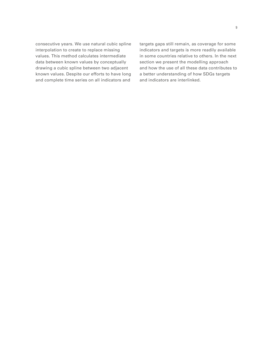consecutive years. We use natural cubic spline interpolation to create to replace missing values. This method calculates intermediate data between known values by conceptually drawing a cubic spline between two adjacent known values. Despite our efforts to have long and complete time series on all indicators and

targets gaps still remain, as coverage for some indicators and targets is more readily available in some countries relative to others. In the next section we present the modelling approach and how the use of all these data contributes to a better understanding of how SDGs targets and indicators are interlinked.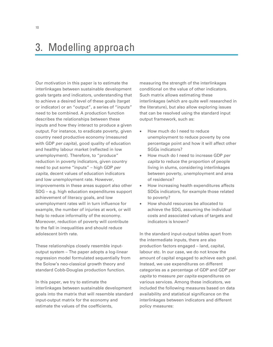### <span id="page-17-0"></span>3. Modelling approach

Our motivation in this paper is to estimate the interlinkages between sustainable development goals targets and indicators, understanding that to achieve a desired level of these goals (target or indicator) or an "output", a series of "inputs" need to be combined. A production function describes the relationships between these inputs and how they interact to produce a given output. For instance, to eradicate poverty, given country need productive economy (measured with GDP *per capita*), good quality of education and healthy labour market (reflected in low unemployment). Therefore, to "produce" reduction in poverty indicators, given country need to put some "inputs" – high GDP *per capita*, decent values of education indicators and low unemployment rate. However, improvements in these areas support also other SDG – e.g. high education expenditures support achievement of literacy goals, and low unemployment rates will in turn influence for example, the number of injuries at work, or will help to reduce informality of the economy. Moreover, reduction of poverty will contribute to the fall in inequalities and should reduce adolescent birth rate.

These relationships closely resemble inputoutput system – The paper adopts a log-linear regression model formulated sequentially from the Solow's neo-classical growth theory and standard Cobb-Douglas production function.

In this paper, we try to estimate the interlinkages between sustainable development goals into the matrix that will resemble standard input-output matrix for the economy and estimate the values of the coefficients,

measuring the strength of the interlinkages conditional on the value of other indicators. Such matrix allows estimating these interlinkages (which are quite well researched in the literature), but also allow exploring issues that can be resolved using the standard input output framework, such as:

- How much do I need to reduce unemployment to reduce poverty by one percentage point and how it will affect other SGGs indicators?
- How much do I need to increase GDP *per capita* to reduce the proportion of people living in slums, considering interlinkages between poverty, unemployment and area of residence?
- How increasing health expenditures affects SDGs indicators, for example those related to poverty?
- How should resources be allocated to achieve the SDG, assuming the individual costs and associated values of targets and indicators is known?

In the standard input-output tables apart from the intermediate inputs, there are also production factors engaged – land, capital, labour etc. In our case, we do not know the amount of capital engaged to achieve each goal. Instead, we use expenditures on different categories as a percentage of GDP and GDP *per capita* to measure *per capita* expenditures on various services. Among these indicators, we included the following measures based on data availability and statistical significance on the interlinkages between indicators and different policy measures: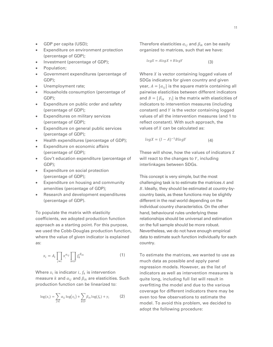- GDP per capita (USD);
- Expenditure on environment protection (percentage of GDP);
- Investment (percentage of GDP);
- Population;
- Government expenditures (percentage of GDP);
- Unemployment rate;
- Households consumption (percentage of GDP);
- Expenditure on public order and safety (percentage of GDP);
- Expenditures on military services (percentage of GDP);
- Expenditure on general public services (percentage of GDP);
- Health expenditures (percentage of GDP);
- Expenditure on economic affairs (percentage of GDP);
- Gov't education expenditure (percentage of GDP);
- Expenditure on social protection (percentage of GDP);
- Expenditure on housing and community amenities (percentage of GDP);
- Research and development expenditures (percentage of GDP).

To populate the matrix with elasticity coefficients, we adopted production function approach as a starting point. For this purpose, we used the Cobb-Douglas production function, where the value of given indicator is explained as:

$$
x_i = A_i \prod_{j \neq i} x_i^{\alpha_{ij}} \prod_{k \in F} f_k^{\beta_{ik}} \tag{1}
$$

Where  $x_i$  is indicator i,  $f_k$  is intervention measure k and  $\alpha_{ij}$  and  $\beta_{ik}$  are elasticities. Such production function can be linearized to:

$$
\log(x_i) = \sum_{j \neq i} \alpha_{ij} \log(x_j) + \sum_{k \in F} \beta_{ik} \log(f_k) + \gamma_i \tag{2}
$$

Therefore elasticities  $\alpha_{ij}$  and  $\beta_{ik}$  can be easily organized to matrices, such that we have:

 $log X = A log X + B log Y$  (3)

Where  $X$  is vector containing logged values of SDGs indicators for given country and given year,  $A = [\alpha_{ij}]$  is the square matrix containing all pairwise elasticities between different indicators and  $B = [\beta_{ik} \quad \gamma_i]$  is the matrix with elasticities of indicators to intervention measures (including constant) and  $Y$  is the vector containing logged values of all the intervention measures (and 1 to reflect constant). With such approach, the values of  $X$  can be calculated as:

$$
log X = (I - A)^{-1} B log Y \tag{4}
$$

These will show, how the values of indicators  $X$ will react to the changes to  $Y$ , including interlinkages between SDGs.

This concept is very simple, but the most challenging task is to estimate the matrices  $A$  and . Ideally, they should be estimated at country-bycountry basis, as these functions may be slightly different in the real world depending on the individual country characteristics. On the other hand, behavioural rules underlying these relationships should be universal and estimation on the full sample should be more robust. Nevertheless, we do not have enough empirical data to estimate such function individually for each country.

To estimate the matrices, we wanted to use as much data as possible and apply panel regression models. However, as the list of indicators as well as intervention measures is quite long, including full list will result in overfitting the model and due to the various coverage for different indicators there may be even too few observations to estimate the model. To avoid this problem, we decided to adopt the following procedure: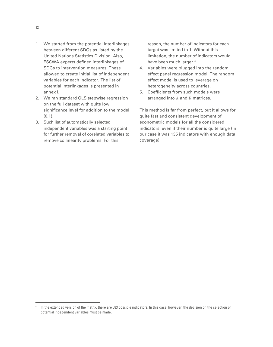- 1. We started from the potential interlinkages between different SDGs as listed by the United Nations Statistics Division. Also, ESCWA experts defined interlinkages of SDGs to intervention measures. These allowed to create initial list of independent variables for each indicator. The list of potential interlinkages is presented in annex I.
- 2. We ran standard OLS stepwise regression on the full dataset with quite low significance level for addition to the model (0.1).
- 3. Such list of automatically selected independent variables was a starting point for further removal of corelated variables to remove collinearity problems. For this

reason, the number of indicators for each target was limited to 1. Without this limitation, the number of indicators would have been much larger.<sup>[4](#page-19-0)</sup>

- 4. Variables were plugged into the random effect panel regression model. The random effect model is used to leverage on heterogeneity across countries.
- 5. Coefficients from such models were arranged into  $A$  and  $B$  matrices.

This method is far from perfect, but it allows for quite fast and consistent development of econometric models for all the considered indicators, even if their number is quite large (in our case it was 135 indicators with enough data coverage).

<span id="page-19-0"></span><sup>&</sup>lt;sup>4</sup> In the extended version of the matrix, there are 583 possible indicators. In this case, however, the decision on the selection of potential independent variables must be made.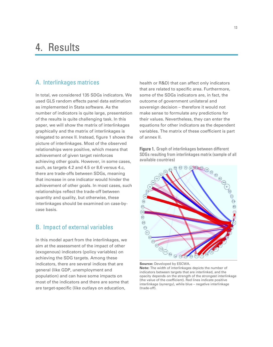#### <span id="page-20-0"></span>4. Results

#### <span id="page-20-1"></span>A. Interlinkages matrices

In total, we considered 135 SDGs indicators. We used GLS random effects panel data estimation as implemented in Stata software. As the number of indicators is quite large, presentation of the results is quite challenging task. In this paper, we will show the matrix of interlinkages graphically and the matrix of interlinkages is relegated to annex II. Instead, [figure 1](#page-20-3) shows the picture of interlinkages. Most of the observed relationships were positive, which means that achievement of given target reinforces achieving other goals. However, in some cases, such, as targets 4.2 and 4.5 or 8.6 versus 4.c, there are trade-offs between SDGs, meaning that increase in one indicator would hinder the achievement of other goals. In most cases, such relationships reflect the trade-off between quantity and quality, but otherwise, these interlinkages should be examined on case-bycase basis.

#### <span id="page-20-2"></span>B. Impact of external variables

In this model apart from the interlinkages, we aim at the assessment of the impact of other (exogenous) indicators (policy variables) on achieving the SDG targets. Among these indicators, there are several indices that are general (like GDP, unemployment and population) and can have some impacts on most of the indicators and there are some that are target-specific (like outlays on education,

health or R&D) that can affect only indicators that are related to specific area. Furthermore, some of the SDGs indicators are, in fact, the outcome of government unilateral and sovereign decision – therefore it would not make sense to formulate any predictions for their values. Nevertheless, they can enter the equations for other indicators as the dependent variables. The matrix of these coefficient is part of annex II.

<span id="page-20-3"></span>Figure 1. Graph of interlinkages between different available countries)



Source: Developed by ESCWA.

Note: The width of interlinkages depicts the number of indicators between targets that are interlinked, and the opacity depends on the strength of the strongest interlinkage (the value of the coefficient). Red lines indicate positive interlinkage (synergy), while blue – negative interlinkage (trade-off).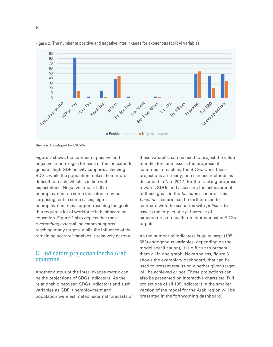

<span id="page-21-1"></span>Figure 2. The number of positive and negative interlinkages for exogenous (policy) variables

Source: Developed by ESCWA*.*

[Figure 2](#page-21-1) shows the number of positive and negative interlinkages for each of the indicator. In general, high GDP heavily supports achieving SDGs, while the population makes them more difficult to reach, which is in line with expectations. Negative impact fall in unemployment on some indicators may be surprising, but in some cases, high unemployment may support reaching the goals that require a lot of workforce in healthcare or education. [Figure 2](#page-21-1) also depicts that these *overarching* external indicators supports reaching many targets, while the influence of the remaining *sectoral* variables is relatively narrow.

#### <span id="page-21-0"></span>C. Indicators projection for the Arab countries

Another output of the interlinkages matrix can be the projections of SDGs indicators. As the relationship between SDGs indicators and such variables as GDP, unemployment and population were estimated, external forecasts of these variables can be used to project the value of indicators and assess the progress of countries in reaching the SDGs. Once these projections are ready, one can use methods as described in Nia (2017) for the tracking progress towards SDGs and assessing the achievement of these goals in the *baseline* scenario. This *baseline* scenario can be further used to compare with the scenarios with *policies*, to assess the impact of e.g. increase of expenditures on health on interconnected SDGs targets.

As the number of indicators is quite large (135- 583) endogenous variables, depending on the model specification), it is difficult to present them all in one graph. Nevertheless, [figure 3](#page-22-0) shows the exemplary dashboard, that can be used to present results on whether given target will be achieved or not. These projections can also be presented on interactive charts etc. Full projections of all 135 indicators in the smaller version of the model for the Arab region will be presented in the forthcoming dashboard.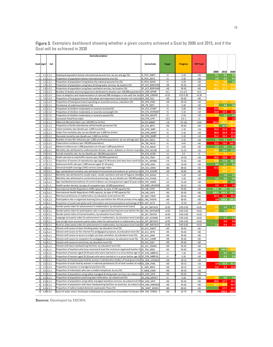|                         |            |                        | SeriesDescription                                                                                                                                                                                     |                            |               |                          |                  |                |               |               |
|-------------------------|------------|------------------------|-------------------------------------------------------------------------------------------------------------------------------------------------------------------------------------------------------|----------------------------|---------------|--------------------------|------------------|----------------|---------------|---------------|
|                         |            |                        |                                                                                                                                                                                                       |                            |               |                          |                  |                |               |               |
|                         | Goal arget | ind                    |                                                                                                                                                                                                       | <b>SeriesCode</b>          | <b>Target</b> | <b>Progress</b>          | <b>Off Track</b> |                |               |               |
|                         |            |                        |                                                                                                                                                                                                       |                            |               |                          |                  |                |               |               |
|                         |            |                        |                                                                                                                                                                                                       |                            |               |                          |                  | 2000           | 2015          | 2030          |
|                         |            | $1.1$ 1.1.1            | Employed population below international poverty line, by sex and age (%)                                                                                                                              | SI POV EMP1                | $<$ 5         | $5 - 20$                 | >20              | 0.1            | 0.1           | 0.0           |
|                         |            | $1.1$ 1.1.1            | Proportion of population below international poverty line (%)                                                                                                                                         | SI POV DAY1                | $<$ 5         | $5 - 20$                 | >20              | 3.8            | 0.2           | 0.1           |
|                         |            | $1.2$ 1.2.1            | Proportion of population living below the national poverty line (%)                                                                                                                                   | SI POV NAHC                | $\leq$        | $5 - 20$                 | >20              | 5.5            | 5.5           | 4.6           |
|                         |            | 1.4 1.4.1              | Proportion of population using basic drinking water services, by location (%)                                                                                                                         | SP ACS BSRVH2O             | >95           | $95 - 65$                | < 65             | 90.1           | 93.5          | 94.3<br>94.2  |
|                         |            | 1.41.4.1<br>1.51.5.1   | Proportion of population using basic sanitation services, by location (%)<br>Number of deaths and missing persons attributed to disasters per 100,000 population VC_DSR_MTMP                          | SP ACS BSRVSAN             | >95<br>< 0.1  | $95 - 65$<br>$0.1 - 0.5$ | < 65<br>>0.5     | 84.1           | 87.5          |               |
|                         |            | 1.5 1.5.3              | Score of adoption and implementation of national DRR strategies in line with the Sen SG_DSR_LGRGSR                                                                                                    |                            | >0.55         | $0.55 - 0.30$            | < 0.30           |                |               |               |
|                         |            | 1.5 1.5.4              | Proportion of local governments that adopt and implement local disaster risk reductidSG_DSR_SILS                                                                                                      |                            | >95           | 95-65                    | $65$             |                |               |               |
|                         |            | 1.a 1.a.2              | Proportion of total government spending on essential services, education (%)                                                                                                                          | SD XPD ESED                | >20           | $20 - 10$                | < 10             | 11.4           | 11.4          | 11.4          |
| $\overline{\mathbf{z}}$ |            | $2.1$ $2.1.1$          | Prevalence of undernourishment (%)                                                                                                                                                                    | SN_ITK_DEFC                | $<$ 5         | $5 - 20$                 | >20              | 10.2           | 4.6           | 3.8           |
|                         |            | $2.2$ $2.2.1$          | Proportion of children moderately or severely stunted (%)                                                                                                                                             | SH_STA_STUNT               | $\leq$        | $5 - 20$                 | >20              | 23.8           | 9.9           | 9.6           |
|                         |            | $2.2$ $2.2.2$          | Proportion of children moderately or severely overweight (%)                                                                                                                                          | SH_STA_OVRWGT              | $<$ 5         | $5 - 10$                 | < 10             | 14.9           | 12.2          | 12.3          |
|                         |            | $2.2$ $2.2.2$          | Proportion of children moderately or severely wasted (%)                                                                                                                                              | SH STA WASTE               | $<$ 5         | $5 - 10$                 | < 10             | 6.4            | 4.2           | 4.0           |
| $\overline{2}$          |            | 2.c 2.c.1              | Consumer Food Price Index                                                                                                                                                                             | AG FPA CFPI                | < 0.5         | $0.5 - 1$                | >1               |                | 0.9           | $1.2$         |
|                         |            | 3.13.1.1               | Maternal Mortality Ratio (per 100,000 live births)                                                                                                                                                    | SH.STA.MMRT                | <70           | 70-150                   | >150             | 164.0<br>94.2  | 100.0         | 100.0<br>92.5 |
|                         |            | 3.13.1.2<br>3.23.2.1   | Proportion of births attended by skilled health personnel (%)<br>Infant mortality rate (deaths per 1,000 live births)                                                                                 | SH_STA_BRTC<br>SH_DYN_IMRT | >95<br>$<$ 5  | $95 - 65$<br>$5 - 10$    | $65$<br>>10      | 33.3           | 97.0<br>21.4  | 19.3          |
|                         |            | $3.2$ $3.2.1$          | Under-five mortality rate, by sex (deaths per 1,000 live births)                                                                                                                                      | SH DYN MORT                | $\leq$        | $5 - 10$                 | >10              | 38.9           | 24.9          | 22.4          |
| з                       |            | 3.23.2.2               | Neonatal mortality rate (deaths per 1,000 live births)                                                                                                                                                | SH DYN NMRT                | $< 5$         | $5 - 10$                 | $>10$            | 21.2           | 15.5          | 13.4          |
|                         |            | 3.3 3.3.1              | Number of new HIV infections per 1,000 uninfected population, by sex and age (per 1 SH_HIV_INCD                                                                                                       |                            | $\leq$        | $5 - 10$                 | $>10$            | 0.0            | 0.1           | 0.0           |
|                         |            | 3.3 3.3.2              | Tuberculosis incidence (per 100,000 population)                                                                                                                                                       | SH_TBS_INCID               | $<$ 5         | $5 - 65$                 | >65              | 72.0           | 74.0          | 100.7         |
|                         |            | 3.3 3.3.3              | Malaria incidence per 1,000 population at risk (per 1,000 population)                                                                                                                                 | SH STA MALR                | $<$ 5         | $5 - 65$                 | >65              | 0.3            | 0.0           | 0.0           |
|                         |            | 3.4 3.4.1              | Mortality rate attributed to cardiovascular disease, cancer, diabetes or chronic respira SH_DTH_NCOM                                                                                                  |                            | $15$          | 15-25                    | $>25$            | 20.4           | 14.4          | 13.8          |
|                         |            | 3.4 3.4.2              | Suicide mortality rate, by sex (deaths per 100,000 population)                                                                                                                                        | SH STA SCIDE               | $3$           | $3 - 5$                  | >5               | 4.0            | 3.2           | 3.0           |
|                         |            | 3.6 3.6.1              | Death rate due to road traffic injuries (per 100,000 population)                                                                                                                                      | SH_STA_TRAF                | <10           | $10 - 20$                | >20              | 24.0           | 23.8          | 23.3          |
|                         |            | 3.7 3.7.1              | Proportion of women of reproductive age (aged 15-49 years) who have their need for SH_FPL_MTMM                                                                                                        |                            | >75           | $75 - 65$                | $65$             | 72.9           | 77.9          | 86.2          |
| $\overline{\mathbf{3}}$ |            | 3.7 3.7.2              | Adolescent birth rate (per 1,000 women aged 15-19 years)                                                                                                                                              | SP_DYN_ADKL                | < 10          | 10-30                    | >30              | 4.8            | 9.7           | 9.9           |
| $\overline{3}$          |            | 3.8 3.8.1              | Universal health coverage (UHC) service coverage index                                                                                                                                                | SH ACS UNHC                | >80           | 80-65                    | $65$             | 57.0           | 76.0          | 78.0          |
|                         |            | 3.9 3.9.1              | Age-standardized mortality rate attributed to household and ambient air pollution (d(SH_STA_ASAIRP                                                                                                    |                            | $20$          | 20-85                    | >85              |                | 43.0          | 39.3          |
| 3                       |            | 3.9 3.9.2              | Mortality rate attributed to unsafe water, unsafe sanitation and lack of hygiene (deat SH_STA_WASH                                                                                                    |                            | $\leq$        | $5 - 20$                 | >20              |                | 1.9           | 1.6           |
| $\overline{\mathbf{3}}$ |            | 3.9 3.9.3              | Mortality rate attributed to unintentional poisonings, by sex (deaths per 100,000 popuSH_STA_POISN                                                                                                    |                            | $<$ 5         | $5 - 20$                 | >20              | $1.2$          | 0.8           | 0.6           |
|                         |            | 3.a 3.a.1              | Age-standardized prevalence of current tobacco use among persons aged 15 years and SH_PRV_SMOK                                                                                                        |                            | $15$          | 15-20                    | $>20$            | 16.4           | 15.6          | 14.0          |
| 3                       |            | 3.c 3.c.1              | Health worker density, by type of occupation (per 10,000 population)                                                                                                                                  | SH MED HEAWOF              | >30           | 30-15                    | $<$ 15           | 2.8            | 4.6           | 4.9           |
| $\overline{\mathbf{3}}$ |            | 3.d3.d.1               | International Health Regulations (IHR) capacity, by type of IHR capacity (%)                                                                                                                          | SH IHR CAPS                | >95           | $95 - 65$                | < 65             | 100.0<br>100.0 | 100.0         | 100.0         |
| 4                       |            | 3.d.3.d.1<br>4.14.1.1  | International Health Regulations (IHR) capacity, by type of IHR capacity (%)<br>Minimum proficiency in mathematics, by education level and sex (%)                                                    | SH_IHR_CAPS<br>SE MAT PROF | >95<br>>90    | $95 - 65$<br>$90 - 65$   | < 65<br>$65$     | 57.4           | 100.0<br>19.0 | 100.0<br>20.1 |
| 4                       | 4.2        | 4.2.2                  | Participation rate in organized learning (one year before the official primary entry ageSE_PRE_PARTN                                                                                                  |                            | >90           | 90-65                    | $65$             |                | $3.4$ 100.0   | 100.0         |
|                         |            | 4.4 4.4.1              | Proportion of youth and adults with information and communications technology (ICTSE_ADT_ACTS                                                                                                         |                            | >75           | 75-50                    | $50$             |                |               |               |
| $\overline{4}$          |            | 4.5 4.5.1              | Gender parity index for achievement in mathematics, by education level (ratio)                                                                                                                        | SE GPI MATACH              | >0.95         | $0.95 - 0.65$            | < 0.65           | 0.7            | $1.2$         | 1.2           |
| $\overline{4}$          |            | 4.5 4.5.1              | Gender parity index for participation rate in organized learning (one year before the CSE_PRE_GPIPARTN                                                                                                |                            | >0.95         | $0.95 - 0.65$            | < 0.65           | 0.9            | 1.0           | 0.9           |
|                         | 4.5        | 4.5.1                  | Gender parity index of trained teachers, by education level (ratio)                                                                                                                                   | SE GPI TRATEA              | >0.95         | $0.95 - 0.65$            | < 0.65           |                |               |               |
| $\overline{4}$          |            | 4.5 4.5.1              | Language test parity index for achievement in mathematics, by education level (ratio) SE LGP ACHIMA                                                                                                   |                            | >0.95         | $0.95 - 0.65$            | < 0.65           | 0.7            | 1.3           | 1.2           |
| $\overline{4}$          |            | 4.5 4.5.1              | Low to high socio-economic parity status index for achievement in mathematics, by e SE_SEP_MATACH                                                                                                     |                            | >0.95         | $0.95 - 0.65$            | < 0.65           |                | 0.5           | 0.6           |
|                         |            | 4.5 4.5.1              | Rural to urban parity index for achievement in mathematics, by education level (ratio SE_URP_MATACH                                                                                                   |                            | >0.95         | $0.95 - 0.65$            | < 0.65           | 1.4            | 0.4           | 0.4           |
| 4                       |            | 4.a 4.a.1              | Schools with access to basic drinking water, by education level (%)                                                                                                                                   | SE ACC DWAT                | >95           | 95-65                    | < 65             |                |               |               |
| $\overline{4}$          |            | 4.a 4.a.1              | Schools with access to the internet for pedagogical purposes, by education level (%)                                                                                                                  | SE ACC INTN                | >95           | $95 - 65$                | < 65             |                |               |               |
|                         |            | 4.a 4.a.1              | Schools with access to access to single-sex basic sanitation, by education level (%)                                                                                                                  | SE ACC SANI                | >95           | $95 - 65$                | < 65             |                |               |               |
| 4                       |            | 4.a 4.a.1              | Schools with access to computers for pedagogical purposes, by education level (%)                                                                                                                     | SE ACC COMP                | >95           | $95 - 65$                | $65$             |                |               |               |
| 4                       |            | 4.a 4.a.1              | Schools with access to electricity, by education level (%)                                                                                                                                            | SE ACC ELEC                | >95           | $95 - 65$                | $65$             |                |               |               |
|                         |            | 4.a 4.a.1              | Schools with basic handwashing facilities, by education level (%)                                                                                                                                     | SE ACC HNWA                | >95           | $95 - 65$                | < 65             |                |               |               |
|                         |            | 4.c 4.c.1              | Proportion of teachers who have received at least the minimum organized teacher traSE_TRA_GRDL                                                                                                        |                            | >95           | 95-65                    | < 65             | 94.2           | 100.0         | 68.2          |
| 5 <sup>1</sup>          |            | 5.3 5.3.1              | Proportion of women aged 20-24 years who were married or in a union before age 15 SP DYN MRBF15                                                                                                       |                            | $\leq$ 1      | $1 - 10$                 | $>10$            |                | 0.4           | 0.5           |
| 5                       |            | 5.3 5.3.1              | Proportion of women aged 20-24 years who were married or in a union before age 18 SP_DYN_MRBF18                                                                                                       |                            | <5            | $5 - 20$                 | >20              |                | 2.5           | 2.5           |
| 5 <sub>l</sub>          |            | 5.5 5.5.1<br>5.5 5.5.1 | Proportion of elected seats held by women in deliberative bodies of local governmenSG_GEN_LOCGELS<br>Proportion of seats held by women in national parliaments (% of total number of seat SG_GEN_PARL |                            | >30           | $30 - 15$                | $15$             |                | 31.6          |               |
| 5                       |            | 5.5 5.5.2              | Proportion of women in managerial positions (%)                                                                                                                                                       | IC GEN MGTL                | >30<br>$>30$  | $30 - 15$<br>$30 - 15$   | $15$<br>$15$     | 3.4<br>5.2     | 9.4           | 51.1<br>12.2  |
|                         |            | 5.b 5.b.1              | Proportion of individuals who own a mobile telephone, by sex (%)                                                                                                                                      | IT_MOB_OWN                 | >90           | 90-20                    | $20$             |                |               |               |
| 6                       |            | 6.16.1.1               | Proportion of population using safely managed drinking water services, by urban/ruraSH_H2O_SAFE                                                                                                       |                            | >95           | 95-65                    | $65$             |                |               |               |
| 6                       |            | 6.266.2.1              | Proportion of population practicing open defecation, by urban/rural (%)                                                                                                                               | SH_SAN_DEFECT              | $<$ 5         | $5 - 20$                 | >20              | 5.9            | 0.8           | 3.0           |
| 6                       |            | 6.266.2.1              | Proportion of population using safely managed sanitation services, by urban/rural (%) SH SAN SAFE                                                                                                     |                            | >95           | 95-65                    | $65$             | 18.5           | 17.7          | 13.1          |
| 6                       |            | 6.266.2.1              | Proportion of population with basic handwashing facilities on premises, by urban/rur(SH_SAN_HNDWSI                                                                                                    |                            | >95           | $95 - 65$                | < 65             | 82.1           | 83.6          | 54.7          |
| 6                       |            | 6.3 6.3.1              | Proportion of safely treated domestic wastewater flows (%)                                                                                                                                            | EN_WWT_WWDS                | >80           | 80-65                    | $65$             |                | 17.7          | 24.7          |
| 6                       |            | 6.4 6.4.2              | Level of water stress: freshwater withdrawal as a proportion of available freshwater r ER H2O STRESS                                                                                                  |                            | $25$          | $25 - 75$                | $>75$            |                | 100.0         | 100.0         |

<span id="page-22-0"></span>Figure 3. Exemplary dashboard showing whether a given country achieved a Goal by 2000 and 2015, and if the Goal will be achieved in 2030

Source: Developed by ESCWA. l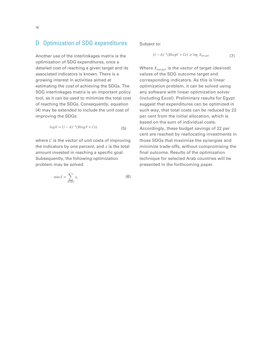#### <span id="page-23-0"></span>D. Optimization of SDG expenditures

Another use of the interlinkages matrix is the optimization of SDG expenditures, once a detailed cost of reaching a given target and its associated indicators is known. There is a growing interest in activities aimed at estimating the *cost* of achieving the SDGs. The SDG interlinkages matrix is an important policy tool, as it can be used to minimize the total cost of reaching the SDGs. Consequently, equation (4) may be extended to include the unit cost of improving the SDGs:

$$
log X = (I - A)^{-1}(Blog Y + Cz)
$$
 (5)

where  $C$  is the vector of unit costs of improving the indicators by one percent, and  $z$  is the total amount invested in reaching a specific goal. Subsequently, the following optimization problem may be solved:

$$
\min Z = \sum_{i \in S D G} z_i \tag{6}
$$

Subject to:

$$
(I - A)^{-1}(B \log Y + Cz) \ge \log X_{target}
$$
 (7)

Where  $X_{target}$  is the vector of target (desired) values of the SDG outcome target and corresponding indicators. As this is linear optimization problem, it can be solved using any software with linear optimization solver (including Excel). Preliminary results for Egypt suggest that expenditures can be optimized in such way, that total costs can be reduced by 22 per cent from the initial allocation, which is based on the sum of individual costs. Accordingly, these budget savings of 22 per cent are reached by reallocating investments in those SDGs that maximize the synergies and minimize trade-offs, without compromising the final outcome. Results of the optimization technique for selected Arab countries will be presented in the forthcoming paper.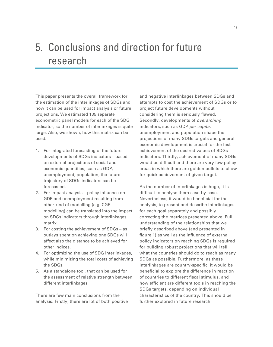### <span id="page-24-0"></span>5. Conclusions and direction for future research

This paper presents the overall framework for the estimation of the interlinkages of SDGs and how it can be used for impact analysis or future projections. We estimated 135 separate econometric panel models for each of the SDG indicator, so the number of interlinkages is quite large. Also, we shown, how this matrix can be used:

- 1. For integrated forecasting of the future developments of SDGs indicators – based on external projections of social and economic quantities, such as GDP, unemployment, population, the future trajectory of SDGs indicators can be forecasted.
- 2. For impact analysis policy influence on GDP and unemployment resulting from other kind of modelling (e.g. CGE modelling) can be translated into the impact on SDGs indicators through interlinkages matrix.
- 3. For costing the achievement of SDGs as outlays spent on achieving one SDGs will affect also the distance to be achieved for other indices.
- 4. For optimizing the use of SDG interlinkages, while minimizing the total costs of achieving the SDGs.
- 5. As a standalone tool, that can be used for the assessment of relative strength between different interlinkages.

There are few main conclusions from the analysis. Firstly, there are lot of both positive

and negative interlinkages between SDGs and attempts to cost the achievement of SDGs or to project future developments without considering them is seriously flawed. Secondly, developments of *overarching*  indicators, such as GDP *per capita*, unemployment and population shape the projections of many SDGs targets and general economic development is crucial for the fast achievement of the desired values of SDGs indicators. Thirdly, achievement of many SDGs would be difficult and there are very few policy areas in which there are golden bullets to allow for quick achievement of given target.

As the number of interlinkages is huge, it is difficult to analyse them case-by-case. Nevertheless, it would be beneficial for the analysis, to present and describe interlinkages for each goal separately and possibly correcting the matrices presented above. Full understanding of the relationships that we briefly described above (and presented in [figure 1\)](#page-20-3) as well as the influence of external policy indicators on reaching SDGs is required for building robust projections that will tell what the countries should do to reach as many SDGs as possible. Furthermore, as these interlinkages are country-specific, it would be beneficial to explore the difference in reaction of countries to different fiscal stimulus, and how efficient are different tools in reaching the SDGs targets, depending on individual characteristics of the country. This should be further explored in future research.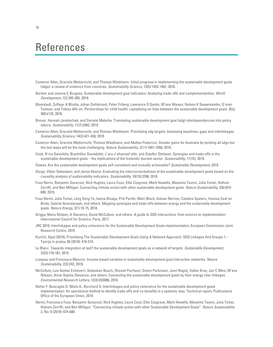### <span id="page-25-0"></span>References

- Cameron Allen, Graciela Metternicht, and Thomas Wiedmann. Initial progress in implementing the sustainable development goals (sdgs): a review of evidence from countries. *Sustainability Science*, 13(5):1453-1467, 2018.
- Barbier and Joanne C Burgess. Sustainable development goal indicators: Analyzing trade-offs and complementarities. *World Development*, 122:295-305, 2019.
- Blomstedt, Zulfiqar A Bhutta, Johan Dahlstrand, Peter Friberg, Lawrence O Gostin, M˚ans Nilsson, Nelson K Sewankambo, G¨oran Tomson, and Tobias Alfv´en. Partnerships for child health: capitalising on links between the sustainable development goals. *Bmj*, 360:k125, 2018.
- Breuer, Hannah Janetschek, and Daniele Malerba. Translating sustainable development goal (sdg) interdependencies into policy advice. *Sustainability*, 11(7):2092, 2019.
- Cameron Allen, Graciela Metternicht, and Thomas Wiedmann. Prioritising sdg targets: Assessing baselines, gaps and interlinkages. *Sustainability Science*, 14(2):421-438, 2019.
- Cameron Allen, Graciela Metternicht, Thomas Wiedmann, and Matteo Pedercini. Greater gains for Australia by tackling all sdgs but the last steps will be the most challenging. *Nature Sustainability*, 2(11):1041-1050, 2019.
- Cook, N´ına Saviolidis, Brynhildur Davısdottir, L´ara J´ohannsd´ottir, and Snjolfur Olafsson. Synergies and trade-offs in the sustainable development goals – the implications of the Icelandic tourism sector. *Sustainability*, 11(15), 2019.
- Dawes. Are the sustainable development goals self-consistent and mutually achievable? *Sustainable Development*, 2019.
- Dorgo, Viktor Sebestyen, and Janos Abonyi. Evaluating the interconnectedness of the sustainable development goals based on the causality analysis of sustainability indicators. *Sustainability*, 10(10):3766, 2018.
- Fuso Nerini, Benjamin Sovacool, Nick Hughes, Laura Cozzi, Ellie Cosgrave, Mark Howells, Massimo Tavoni, Julia Tomei, Hisham Zerriffi, and Ben Milligan. Connecting climate action with other sustainable development goals. *Nature Sustainability*, 2(8):674- 680, 2019.
- Fuso Nerini, Julia Tomei, Long Seng To, Iwona Bisaga, Priti Parikh, Mairi Black, Aiduan Borrion, Catalina Spataru, Vanesa Cast´an Broto, Gabrial Anandarajah, and others. Mapping synergies and trade-offs between energy and the sustainable development goals. *Nature Energy*, 3(1):10-15, 2018.
- Griggs, Mans Nilsson, A Stevance, David McCollum, and others. *A guide to SDG interactions: from science to implementation*. International Council for Science, Paris, 2017.
- JRC 2019, Interlinkages and policy coherence for the Sustainable Development Goals implementation, European Commission Joint Research Centre, 2019.
- Kunčič, Aljaž.(2019), Prioritising The Sustainable Development Goals Using A Network Approach: SDG Linkages And Groups 1 Teorija in praksa 56 (2019): 418-514.
- Le Blanc. Towards integration at last? the sustainable development goals as a network of targets. *Sustainable Development*, 23(3):176-187, 2015.
- Lusseau and Francesca Mancini. Income-based variation in sustainable development goal interaction networks. *Nature Sustainability*, 2(3):242, 2019.
- McCollum, Luis Gomez Echeverri, Sebastian Busch, Shonali Pachauri, Simon Parkinson, Joeri Rogelj, Volker Krey, Jan C Minx, M˚ans Nilsson, Anne-Sophie Stevance, and others. Connecting the sustainable development goals by their energy inter-linkages. *Environmental Research Letters*, 13(3):033006, 2018.
- Neher F. Buscaglia D. Miola A., Borchard S. Interlinkages and policy coherence for the sustainable development goals implementation: An operational method to identify trade-offs and co-benefits in a systemic way. Technical report, Publications Office of the European Union, 2019.
- Nerini, Francesco Fuso, Benjamin Sovacool, Nick Hughes, Laura Cozzi, Ellie Cosgrave, Mark Howells, Massimo Tavoni, Julia Tomei, Hisham Zerriffi, and Ben Milligan. "Connecting climate action with other Sustainable Development Goals". *Nature Sustainability* 2, No. 8 (2019): 674-680.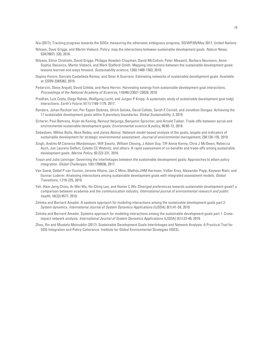Nia (2017), Tracking progress towards the SDGs: measuring the otherwise ambiguous progress, SD/WP/05/May 2017, United Nations

- Nilsson, Dave Griggs, and Martin Visbeck. Policy: map the interactions between sustainable development goals. *Nature News*, 534(7607): 320, 2016.
- Nilsson, Elinor Chisholm, David Griggs, Philippa Howden-Chapman, David McCollum, Peter Messerli, Barbara Neumann, Anne-Sophie Stevance, Martin Visbeck, and Mark Stafford-Smith. Mapping interactions between the sustainable development goals: lessons learned and ways forward. *Sustainability science*, 13(6):1489-1503, 2018.
- Ospina-Forero, Gonzalo Castañeda Ramos, and Omar A Guerrero. Estimating networks of sustainable development goals. Available at *SSRN 3385362*, 2019.
- Pedercini, Steve Arquitt, David Collste, and Hans Herren. Harvesting synergy from sustainable development goal interactions. *Proceedings of the National Academy of Sciences*, 116(46):23021-23028, 2019.
- Pradhan, Luís Costa, Diego Rybski, Wolfgang Lucht, and Jurgen P Kropp. A systematic study of sustainable development goal (sdg) interactions. *Earth's Future*, 5(11):1169-1179, 2017.
- Randers, Johan Rockstr¨om, Per-Espen Stoknes, Ulrich Goluke, David Collste, Sarah E Cornell, and Jonathan Donges. Achieving the 17 sustainable development goals within 9 planetary boundaries. *Global Sustainability*, 2, 2019.
- Scherer, Paul Behrens, Arjan de Koning, Reinout Heijungs, Benjamin Sprecher, and Arnold Tukker. Trade-offs between social and environmental sustainable development goals. *Environmental science & policy*, 90:65-72, 2018.
- Sebestyen, Miklos Bulla, Akos Redey, and Janos Abonyi. Network model-based analysis of the goals, targets and indicators of sustainable development for strategic environmental assessment. *Journal of environmental management*, 238:126-135, 2019.
- Singh, Andrés M Cisneros-Montemayor, Wilf Swartz, William Cheung, J Adam Guy, Tiff-Annie Kenny, Chris J McOwen, Rebecca Asch, Jan Laurens Geffert, Colette CC Wabnitz, and others. A rapid assessment of co-benefits and trade-offs among sustainable development goals. *Marine Policy*, 93:223-231, 2018.
- Tosun and Julia Leininger. Governing the interlinkages between the sustainable development goals: Approaches to attain policy integration. *Global Challenges*, 1(9):1700036, 2017.
- Van Soest, Detlef P van Vuuren, Jerome Hilaire, Jan C Minx, Mathijs JHM Harmsen, Volker Krey, Alexander Popp, Keywan Riahi, and Gunnar Luderer. Analysing interactions among sustainable development goals with integrated assessment models. *Global Transitions*, 1:210-225, 2019.
- Yeh, Haw-Jeng Chiou, Ai-Wei Wu, Ho-Ching Lee, and Homer C Wu. Diverged preferences towards sustainable development goals? a comparison between academia and the communication industry. *International journal of environmental research and public health*, 16(22):4577, 2019.
- Zelinka and Bernard Amadei. A systems approach for modeling interactions among the sustainable development goals part 2: System dynamics. *International Journal of System Dynamics Applications (IJSDA)*, 8(1):41-59, 2019.
- Zelinka and Bernard Amadei. Systems approach for modeling interactions among the sustainable development goals part 1: Crossimpact network analysis. *International Journal of System Dynamics Applications (IJSDA)*, 8(1):23-40, 2019.
- Zhou, Xin and Mustafa Moinuddin (2017): Sustainable Development Goals Interlinkages and Network Analysis: A Practical Tool for SDG Integration and Policy Coherence. Institute for Global Environmental Strategies (IGES).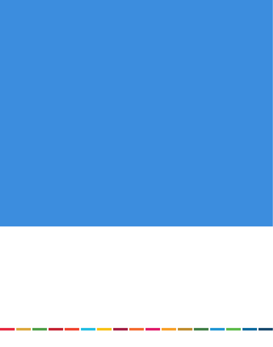والمتنا والمتنا والمتواطئ والمتنا والمتنا المتنا والمتنا المتنا والمتنا والمتنا والمتا المتنا المتنا والمتنا والمت

and the first party